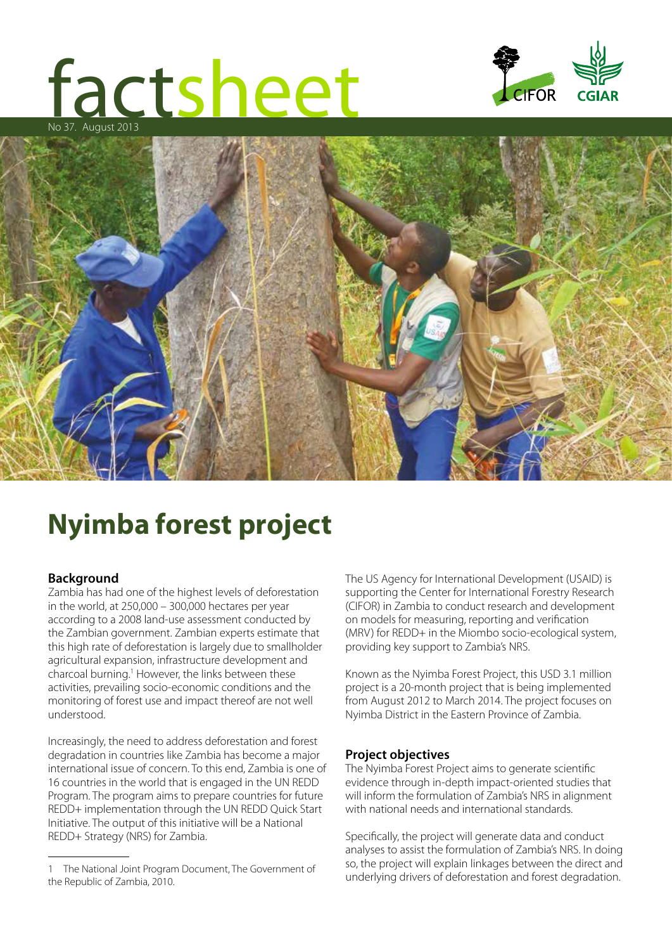# factsheet No 37. August 2013





## **Nyimba forest project**

### **Background**

Zambia has had one of the highest levels of deforestation in the world, at 250,000 – 300,000 hectares per year according to a 2008 land-use assessment conducted by the Zambian government. Zambian experts estimate that this high rate of deforestation is largely due to smallholder agricultural expansion, infrastructure development and charcoal burning.<sup>1</sup> However, the links between these activities, prevailing socio-economic conditions and the monitoring of forest use and impact thereof are not well understood.

Increasingly, the need to address deforestation and forest degradation in countries like Zambia has become a major international issue of concern. To this end, Zambia is one of 16 countries in the world that is engaged in the UN REDD Program. The program aims to prepare countries for future REDD+ implementation through the UN REDD Quick Start Initiative. The output of this initiative will be a National REDD+ Strategy (NRS) for Zambia.

The US Agency for International Development (USAID) is supporting the Center for International Forestry Research (CIFOR) in Zambia to conduct research and development on models for measuring, reporting and verification (MRV) for REDD+ in the Miombo socio-ecological system, providing key support to Zambia's NRS.

Known as the Nyimba Forest Project, this USD 3.1 million project is a 20-month project that is being implemented from August 2012 to March 2014. The project focuses on Nyimba District in the Eastern Province of Zambia.

### **Project objectives**

The Nyimba Forest Project aims to generate scientific evidence through in-depth impact-oriented studies that will inform the formulation of Zambia's NRS in alignment with national needs and international standards.

Specifically, the project will generate data and conduct analyses to assist the formulation of Zambia's NRS. In doing so, the project will explain linkages between the direct and underlying drivers of deforestation and forest degradation.

<sup>1</sup> The National Joint Program Document, The Government of the Republic of Zambia, 2010.